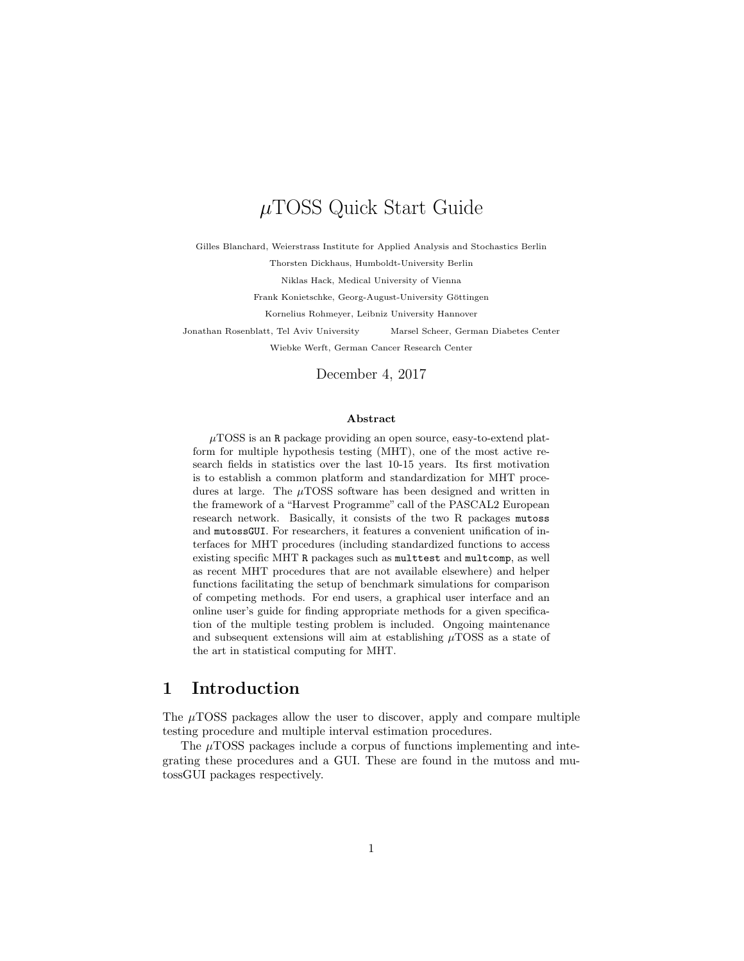# µTOSS Quick Start Guide

Gilles Blanchard, Weierstrass Institute for Applied Analysis and Stochastics Berlin

Thorsten Dickhaus, Humboldt-University Berlin

Niklas Hack, Medical University of Vienna

Frank Konietschke, Georg-August-University Göttingen

Kornelius Rohmeyer, Leibniz University Hannover

Jonathan Rosenblatt, Tel Aviv University Marsel Scheer, German Diabetes Center

Wiebke Werft, German Cancer Research Center

December 4, 2017

#### Abstract

 $\mu$ TOSS is an R package providing an open source, easy-to-extend platform for multiple hypothesis testing (MHT), one of the most active research fields in statistics over the last 10-15 years. Its first motivation is to establish a common platform and standardization for MHT procedures at large. The  $\mu$ TOSS software has been designed and written in the framework of a "Harvest Programme" call of the PASCAL2 European research network. Basically, it consists of the two R packages mutoss and mutossGUI. For researchers, it features a convenient unification of interfaces for MHT procedures (including standardized functions to access existing specific MHT R packages such as multtest and multcomp, as well as recent MHT procedures that are not available elsewhere) and helper functions facilitating the setup of benchmark simulations for comparison of competing methods. For end users, a graphical user interface and an online user's guide for finding appropriate methods for a given specification of the multiple testing problem is included. Ongoing maintenance and subsequent extensions will aim at establishing  $\mu$ TOSS as a state of the art in statistical computing for MHT.

## 1 Introduction

The  $\mu$ TOSS packages allow the user to discover, apply and compare multiple testing procedure and multiple interval estimation procedures.

The  $\mu$ TOSS packages include a corpus of functions implementing and integrating these procedures and a GUI. These are found in the mutoss and mutossGUI packages respectively.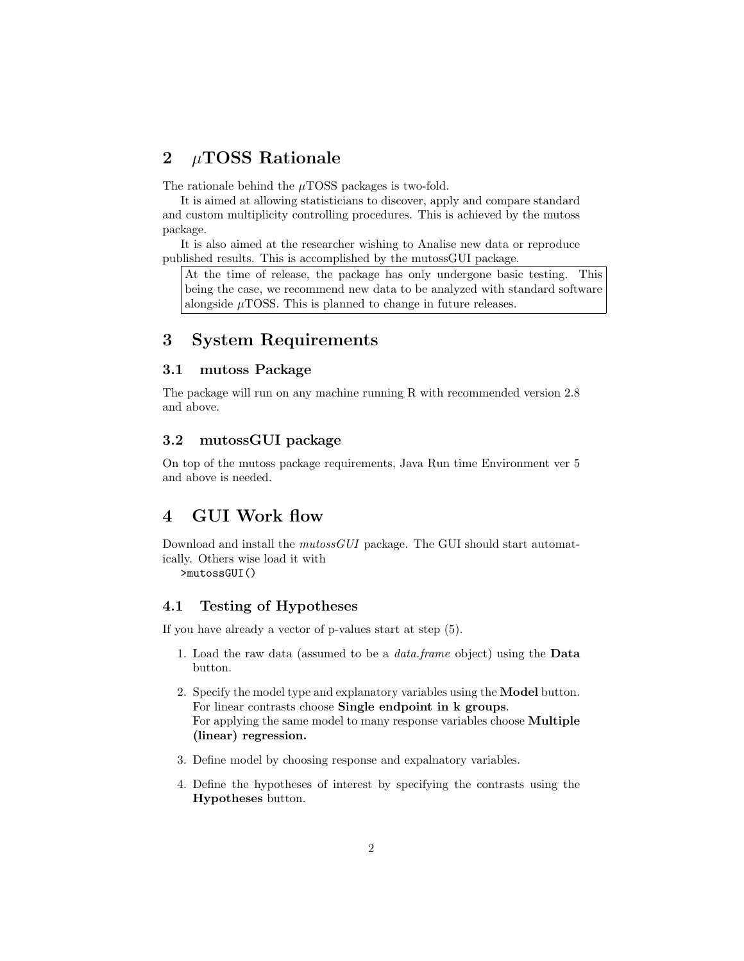## 2  $\mu$ TOSS Rationale

The rationale behind the  $\mu$ TOSS packages is two-fold.

It is aimed at allowing statisticians to discover, apply and compare standard and custom multiplicity controlling procedures. This is achieved by the mutoss package.

It is also aimed at the researcher wishing to Analise new data or reproduce published results. This is accomplished by the mutossGUI package.

At the time of release, the package has only undergone basic testing. This being the case, we recommend new data to be analyzed with standard software alongside  $\mu$ TOSS. This is planned to change in future releases.

### 3 System Requirements

### 3.1 mutoss Package

The package will run on any machine running R with recommended version 2.8 and above.

### 3.2 mutossGUI package

On top of the mutoss package requirements, Java Run time Environment ver 5 and above is needed.

# 4 GUI Work flow

Download and install the mutossGUI package. The GUI should start automatically. Others wise load it with

>mutossGUI()

#### 4.1 Testing of Hypotheses

If you have already a vector of p-values start at step (5).

- 1. Load the raw data (assumed to be a data.frame object) using the Data button.
- 2. Specify the model type and explanatory variables using the Model button. For linear contrasts choose Single endpoint in k groups. For applying the same model to many response variables choose Multiple (linear) regression.
- 3. Define model by choosing response and expalnatory variables.
- 4. Define the hypotheses of interest by specifying the contrasts using the Hypotheses button.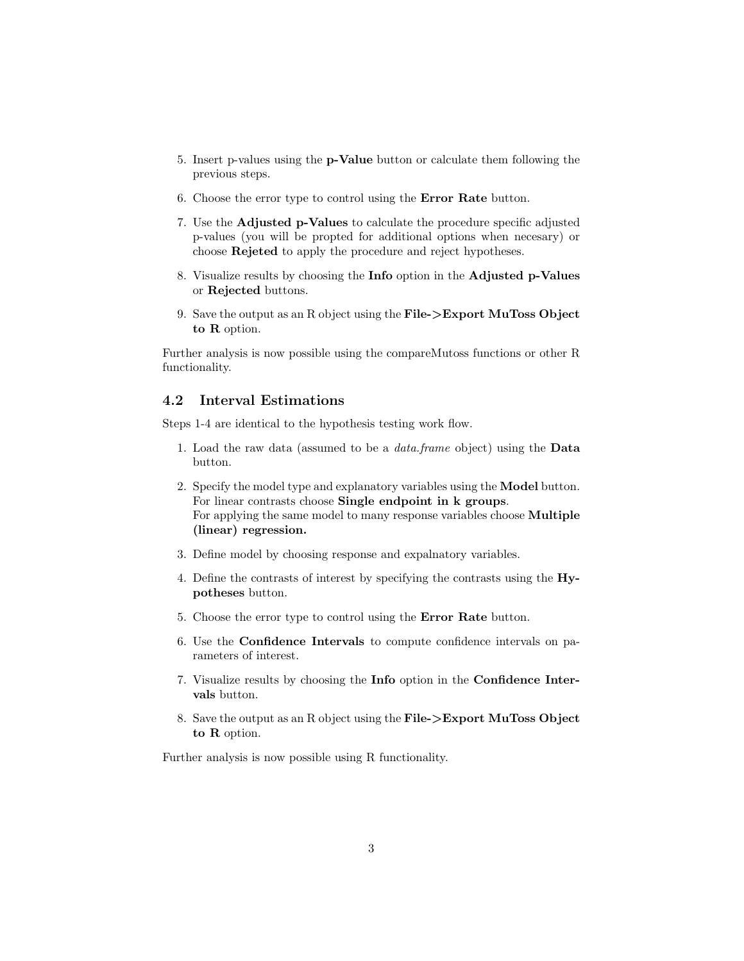- 5. Insert p-values using the p-Value button or calculate them following the previous steps.
- 6. Choose the error type to control using the Error Rate button.
- 7. Use the Adjusted p-Values to calculate the procedure specific adjusted p-values (you will be propted for additional options when necesary) or choose Rejeted to apply the procedure and reject hypotheses.
- 8. Visualize results by choosing the Info option in the Adjusted p-Values or Rejected buttons.
- 9. Save the output as an R object using the File->Export MuToss Object to R option.

Further analysis is now possible using the compareMutoss functions or other R functionality.

#### 4.2 Interval Estimations

Steps 1-4 are identical to the hypothesis testing work flow.

- 1. Load the raw data (assumed to be a data.frame object) using the Data button.
- 2. Specify the model type and explanatory variables using the Model button. For linear contrasts choose Single endpoint in k groups. For applying the same model to many response variables choose Multiple (linear) regression.
- 3. Define model by choosing response and expalnatory variables.
- 4. Define the contrasts of interest by specifying the contrasts using the Hypotheses button.
- 5. Choose the error type to control using the Error Rate button.
- 6. Use the Confidence Intervals to compute confidence intervals on parameters of interest.
- 7. Visualize results by choosing the Info option in the Confidence Intervals button.
- 8. Save the output as an R object using the File->Export MuToss Object to R option.

Further analysis is now possible using R functionality.